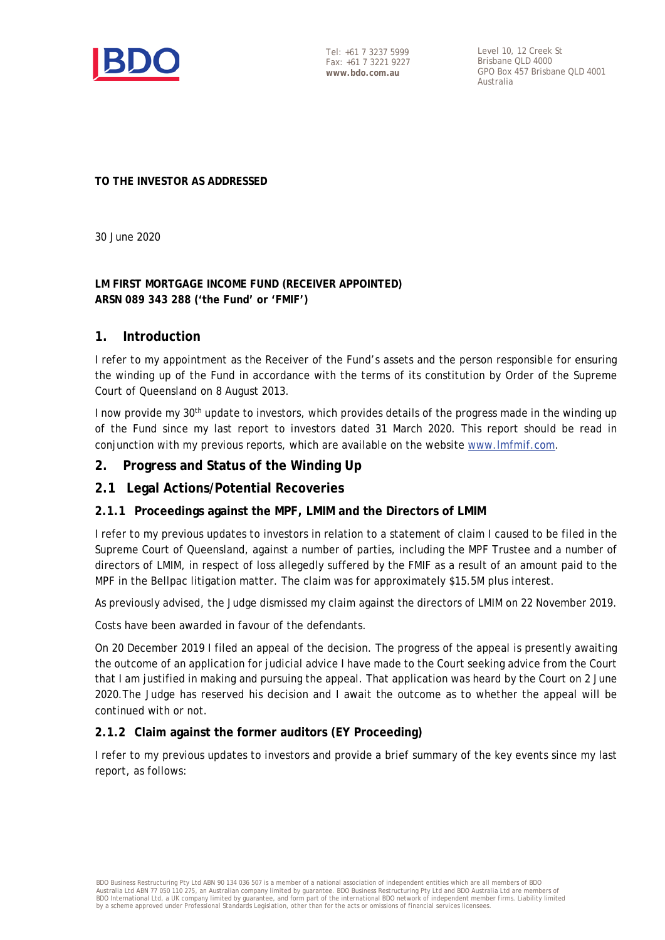

Tel: +61 7 3237 5999 Fax: +61 7 3221 9227 **www.bdo.com.au**

Level 10, 12 Creek St Brisbane QLD 4000 GPO Box 457 Brisbane QLD 4001 Australia

#### **TO THE INVESTOR AS ADDRESSED**

30 June 2020

# **LM FIRST MORTGAGE INCOME FUND (RECEIVER APPOINTED) ARSN 089 343 288 ('the Fund' or 'FMIF')**

## **1. Introduction**

I refer to my appointment as the Receiver of the Fund's assets and the person responsible for ensuring the winding up of the Fund in accordance with the terms of its constitution by Order of the Supreme Court of Queensland on 8 August 2013.

I now provide my 30<sup>th</sup> update to investors, which provides details of the progress made in the winding up of the Fund since my last report to investors dated 31 March 2020. This report should be read in conjunction with my previous reports, which are available on the website [www.lmfmif.com.](http://www.lmfmif.com/)

## **2. Progress and Status of the Winding Up**

## **2.1 Legal Actions/Potential Recoveries**

#### **2.1.1 Proceedings against the MPF, LMIM and the Directors of LMIM**

I refer to my previous updates to investors in relation to a statement of claim I caused to be filed in the Supreme Court of Queensland, against a number of parties, including the MPF Trustee and a number of directors of LMIM, in respect of loss allegedly suffered by the FMIF as a result of an amount paid to the MPF in the Bellpac litigation matter. The claim was for approximately \$15.5M plus interest.

As previously advised, the Judge dismissed my claim against the directors of LMIM on 22 November 2019.

Costs have been awarded in favour of the defendants.

On 20 December 2019 I filed an appeal of the decision. The progress of the appeal is presently awaiting the outcome of an application for judicial advice I have made to the Court seeking advice from the Court that I am justified in making and pursuing the appeal. That application was heard by the Court on 2 June 2020.The Judge has reserved his decision and I await the outcome as to whether the appeal will be continued with or not.

#### **2.1.2 Claim against the former auditors (EY Proceeding)**

I refer to my previous updates to investors and provide a brief summary of the key events since my last report, as follows: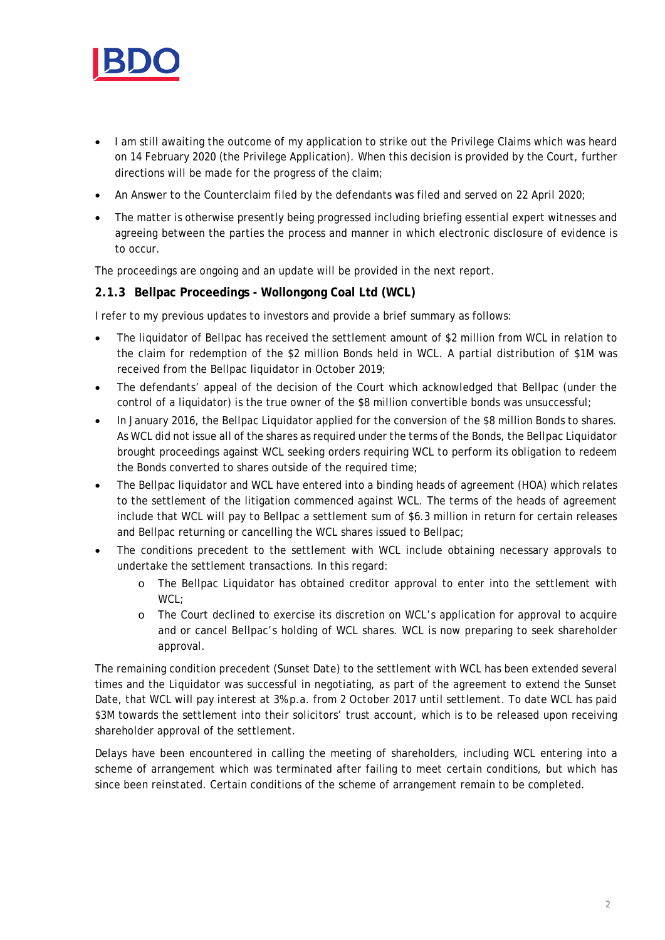

- I am still awaiting the outcome of my application to strike out the Privilege Claims which was heard on 14 February 2020 (the Privilege Application). When this decision is provided by the Court, further directions will be made for the progress of the claim;
- An Answer to the Counterclaim filed by the defendants was filed and served on 22 April 2020;
- The matter is otherwise presently being progressed including briefing essential expert witnesses and agreeing between the parties the process and manner in which electronic disclosure of evidence is to occur.

The proceedings are ongoing and an update will be provided in the next report.

#### **2.1.3 Bellpac Proceedings - Wollongong Coal Ltd (WCL)**

I refer to my previous updates to investors and provide a brief summary as follows:

- The liquidator of Bellpac has received the settlement amount of \$2 million from WCL in relation to the claim for redemption of the \$2 million Bonds held in WCL. A partial distribution of \$1M was received from the Bellpac liquidator in October 2019;
- The defendants' appeal of the decision of the Court which acknowledged that Bellpac (under the control of a liquidator) is the true owner of the \$8 million convertible bonds was unsuccessful;
- In January 2016, the Bellpac Liquidator applied for the conversion of the \$8 million Bonds to shares. As WCL did not issue all of the shares as required under the terms of the Bonds, the Bellpac Liquidator brought proceedings against WCL seeking orders requiring WCL to perform its obligation to redeem the Bonds converted to shares outside of the required time;
- The Bellpac liquidator and WCL have entered into a binding heads of agreement (HOA) which relates to the settlement of the litigation commenced against WCL. The terms of the heads of agreement include that WCL will pay to Bellpac a settlement sum of \$6.3 million in return for certain releases and Bellpac returning or cancelling the WCL shares issued to Bellpac;
- The conditions precedent to the settlement with WCL include obtaining necessary approvals to undertake the settlement transactions. In this regard:
	- o The Bellpac Liquidator has obtained creditor approval to enter into the settlement with WCL;
	- o The Court declined to exercise its discretion on WCL's application for approval to acquire and or cancel Bellpac's holding of WCL shares. WCL is now preparing to seek shareholder approval.

The remaining condition precedent (Sunset Date) to the settlement with WCL has been extended several times and the Liquidator was successful in negotiating, as part of the agreement to extend the Sunset Date, that WCL will pay interest at 3% p.a. from 2 October 2017 until settlement. To date WCL has paid \$3M towards the settlement into their solicitors' trust account, which is to be released upon receiving shareholder approval of the settlement.

Delays have been encountered in calling the meeting of shareholders, including WCL entering into a scheme of arrangement which was terminated after failing to meet certain conditions, but which has since been reinstated. Certain conditions of the scheme of arrangement remain to be completed.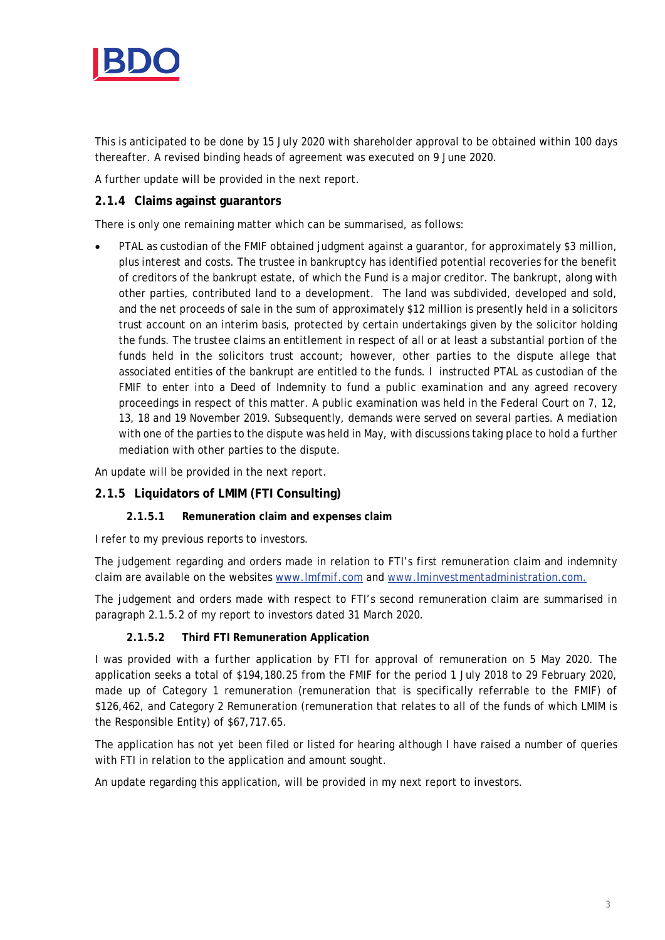

This is anticipated to be done by 15 July 2020 with shareholder approval to be obtained within 100 days thereafter. A revised binding heads of agreement was executed on 9 June 2020.

A further update will be provided in the next report.

#### **2.1.4 Claims against guarantors**

There is only one remaining matter which can be summarised, as follows:

• PTAL as custodian of the FMIF obtained judgment against a guarantor, for approximately \$3 million, plus interest and costs. The trustee in bankruptcy has identified potential recoveries for the benefit of creditors of the bankrupt estate, of which the Fund is a major creditor. The bankrupt, along with other parties, contributed land to a development. The land was subdivided, developed and sold, and the net proceeds of sale in the sum of approximately \$12 million is presently held in a solicitors trust account on an interim basis, protected by certain undertakings given by the solicitor holding the funds. The trustee claims an entitlement in respect of all or at least a substantial portion of the funds held in the solicitors trust account; however, other parties to the dispute allege that associated entities of the bankrupt are entitled to the funds. I instructed PTAL as custodian of the FMIF to enter into a Deed of Indemnity to fund a public examination and any agreed recovery proceedings in respect of this matter. A public examination was held in the Federal Court on 7, 12, 13, 18 and 19 November 2019. Subsequently, demands were served on several parties. A mediation with one of the parties to the dispute was held in May, with discussions taking place to hold a further mediation with other parties to the dispute.

An update will be provided in the next report.

## **2.1.5 Liquidators of LMIM (FTI Consulting)**

#### **2.1.5.1 Remuneration claim and expenses claim**

I refer to my previous reports to investors.

The judgement regarding and orders made in relation to FTI's first remuneration claim and indemnity claim are available on the websites [www.lmfmif.com](http://www.lmfmif.com/) and [www.lminvestmentadministration.com.](http://www.lminvestmentadministration.com/)

The judgement and orders made with respect to FTI's second remuneration claim are summarised in paragraph 2.1.5.2 of my report to investors dated 31 March 2020.

#### **2.1.5.2 Third FTI Remuneration Application**

I was provided with a further application by FTI for approval of remuneration on 5 May 2020. The application seeks a total of \$194,180.25 from the FMIF for the period 1 July 2018 to 29 February 2020, made up of Category 1 remuneration (remuneration that is specifically referrable to the FMIF) of \$126,462, and Category 2 Remuneration (remuneration that relates to all of the funds of which LMIM is the Responsible Entity) of \$67,717.65.

The application has not yet been filed or listed for hearing although I have raised a number of queries with FTI in relation to the application and amount sought.

An update regarding this application, will be provided in my next report to investors.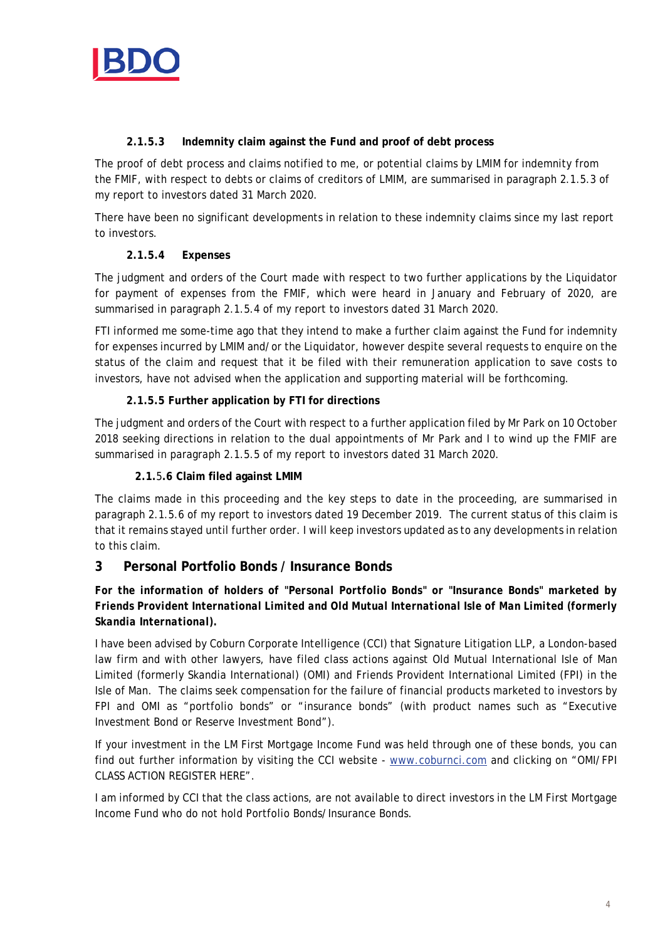

### **2.1.5.3 Indemnity claim against the Fund and proof of debt process**

The proof of debt process and claims notified to me, or potential claims by LMIM for indemnity from the FMIF, with respect to debts or claims of creditors of LMIM, are summarised in paragraph 2.1.5.3 of my report to investors dated 31 March 2020.

There have been no significant developments in relation to these indemnity claims since my last report to investors.

## **2.1.5.4 Expenses**

The judgment and orders of the Court made with respect to two further applications by the Liquidator for payment of expenses from the FMIF, which were heard in January and February of 2020, are summarised in paragraph 2.1.5.4 of my report to investors dated 31 March 2020.

FTI informed me some-time ago that they intend to make a further claim against the Fund for indemnity for expenses incurred by LMIM and/or the Liquidator, however despite several requests to enquire on the status of the claim and request that it be filed with their remuneration application to save costs to investors, have not advised when the application and supporting material will be forthcoming.

## **2.1.5.5 Further application by FTI for directions**

The judgment and orders of the Court with respect to a further application filed by Mr Park on 10 October 2018 seeking directions in relation to the dual appointments of Mr Park and I to wind up the FMIF are summarised in paragraph 2.1.5.5 of my report to investors dated 31 March 2020.

### **2.1.**5**.6 Claim filed against LMIM**

The claims made in this proceeding and the key steps to date in the proceeding, are summarised in paragraph 2.1.5.6 of my report to investors dated 19 December 2019. The current status of this claim is that it remains stayed until further order. I will keep investors updated as to any developments in relation to this claim.

## **3 Personal Portfolio Bonds / Insurance Bonds**

## *For the information of holders of "Personal Portfolio Bonds" or "Insurance Bonds" marketed by Friends Provident International Limited and Old Mutual International Isle of Man Limited (formerly Skandia International).*

I have been advised by Coburn Corporate Intelligence (CCI) that Signature Litigation LLP, a London-based law firm and with other lawyers, have filed class actions against Old Mutual International Isle of Man Limited (formerly Skandia International) (OMI) and Friends Provident International Limited (FPI) in the Isle of Man. The claims seek compensation for the failure of financial products marketed to investors by FPI and OMI as "portfolio bonds" or "insurance bonds" (with product names such as "Executive Investment Bond or Reserve Investment Bond").

If your investment in the LM First Mortgage Income Fund was held through one of these bonds, you can find out further information by visiting the CCI website - [www.coburnci.com](http://www.coburnci.com/) and clicking on "OMI/FPI CLASS ACTION REGISTER HERE".

I am informed by CCI that the class actions, are not available to direct investors in the LM First Mortgage Income Fund who do not hold Portfolio Bonds/Insurance Bonds.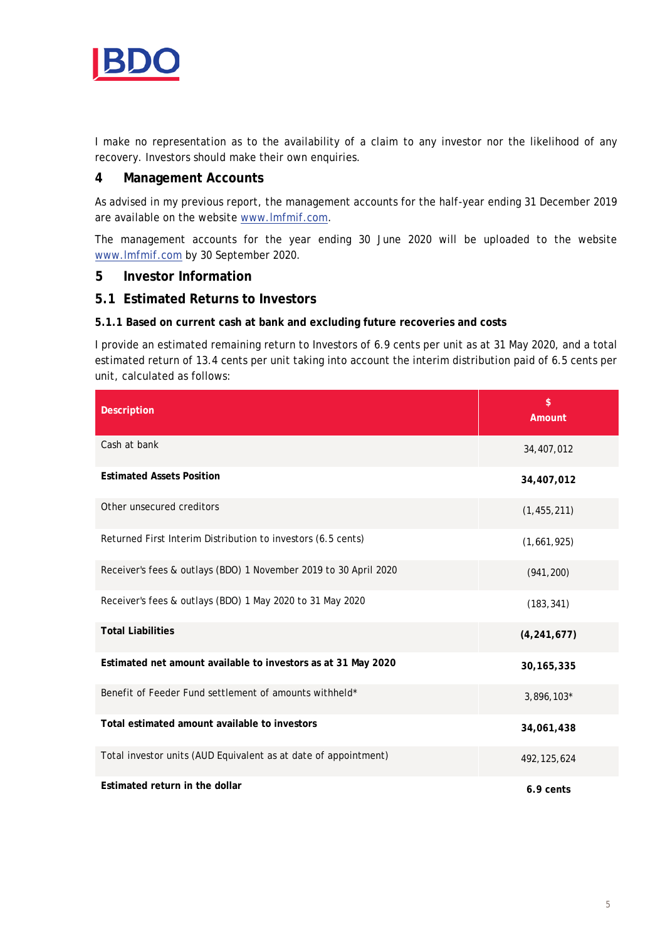

I make no representation as to the availability of a claim to any investor nor the likelihood of any recovery. Investors should make their own enquiries.

#### **4 Management Accounts**

As advised in my previous report, the management accounts for the half-year ending 31 December 2019 are available on the website [www.lmfmif.com.](http://www.lmfmif.com/)

The management accounts for the year ending 30 June 2020 will be uploaded to the website [www.lmfmif.com](http://www.lmfmif.com/) by 30 September 2020.

#### **5 Investor Information**

## **5.1 Estimated Returns to Investors**

#### **5.1.1 Based on current cash at bank and excluding future recoveries and costs**

I provide an estimated remaining return to Investors of 6.9 cents per unit as at 31 May 2020, and a total estimated return of 13.4 cents per unit taking into account the interim distribution paid of 6.5 cents per unit, calculated as follows:

| <b>Description</b>                                               | \$<br>Amount  |
|------------------------------------------------------------------|---------------|
| Cash at bank                                                     | 34,407,012    |
| <b>Estimated Assets Position</b>                                 | 34,407,012    |
| Other unsecured creditors                                        | (1, 455, 211) |
| Returned First Interim Distribution to investors (6.5 cents)     | (1,661,925)   |
| Receiver's fees & outlays (BDO) 1 November 2019 to 30 April 2020 | (941, 200)    |
| Receiver's fees & outlays (BDO) 1 May 2020 to 31 May 2020        | (183, 341)    |
| <b>Total Liabilities</b>                                         | (4, 241, 677) |
| Estimated net amount available to investors as at 31 May 2020    | 30, 165, 335  |
| Benefit of Feeder Fund settlement of amounts withheld*           | 3,896,103*    |
| Total estimated amount available to investors                    | 34,061,438    |
| Total investor units (AUD Equivalent as at date of appointment)  | 492, 125, 624 |
| Estimated return in the dollar                                   | 6.9 cents     |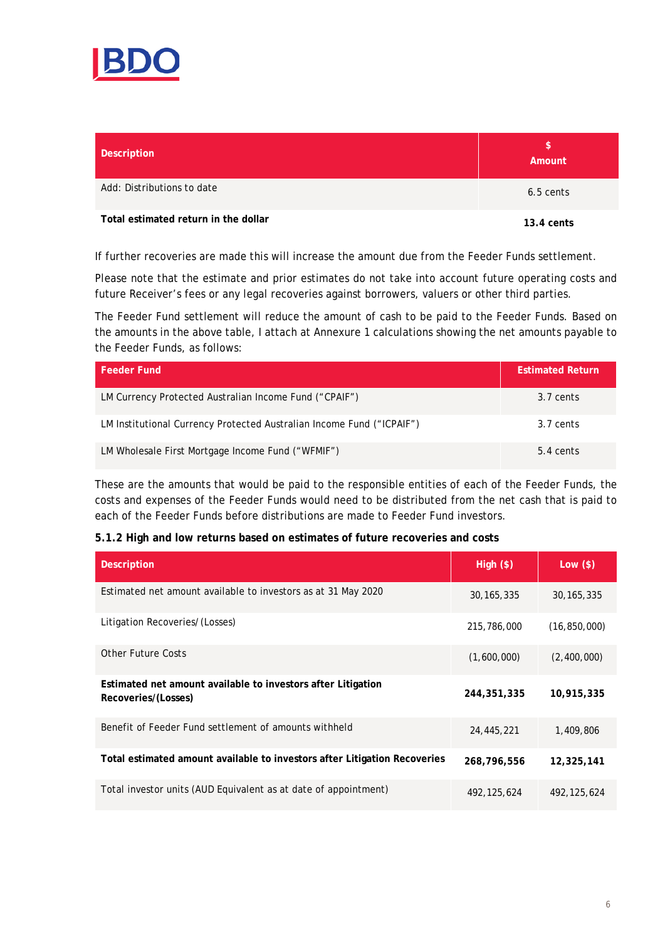

| Description                          | \$<br>Amount |
|--------------------------------------|--------------|
| Add: Distributions to date           | 6.5 cents    |
| Total estimated return in the dollar | $13.4$ cents |

If further recoveries are made this will increase the amount due from the Feeder Funds settlement.

Please note that the estimate and prior estimates do not take into account future operating costs and future Receiver's fees or any legal recoveries against borrowers, valuers or other third parties.

The Feeder Fund settlement will reduce the amount of cash to be paid to the Feeder Funds. Based on the amounts in the above table, I attach at Annexure 1 calculations showing the net amounts payable to the Feeder Funds, as follows:

| <b>Feeder Fund</b>                                                    | <b>Estimated Return</b> |
|-----------------------------------------------------------------------|-------------------------|
| LM Currency Protected Australian Income Fund ("CPAIF")                | 3.7 cents               |
| LM Institutional Currency Protected Australian Income Fund ("ICPAIF") | 3.7 cents               |
| LM Wholesale First Mortgage Income Fund ("WFMIF")                     | 5.4 cents               |

These are the amounts that would be paid to the responsible entities of each of the Feeder Funds, the costs and expenses of the Feeder Funds would need to be distributed from the net cash that is paid to each of the Feeder Funds before distributions are made to Feeder Fund investors.

#### **5.1.2 High and low returns based on estimates of future recoveries and costs**

| <b>Description</b>                                                                  | High (\$)     | Low $($ \$)    |
|-------------------------------------------------------------------------------------|---------------|----------------|
| Estimated net amount available to investors as at 31 May 2020                       | 30, 165, 335  | 30, 165, 335   |
| Litigation Recoveries/(Losses)                                                      | 215,786,000   | (16, 850, 000) |
| Other Future Costs                                                                  | (1,600,000)   | (2,400,000)    |
| Estimated net amount available to investors after Litigation<br>Recoveries/(Losses) | 244,351,335   | 10,915,335     |
| Benefit of Feeder Fund settlement of amounts withheld                               | 24,445,221    | 1,409,806      |
| Total estimated amount available to investors after Litigation Recoveries           | 268,796,556   | 12,325,141     |
| Total investor units (AUD Equivalent as at date of appointment)                     | 492, 125, 624 | 492, 125, 624  |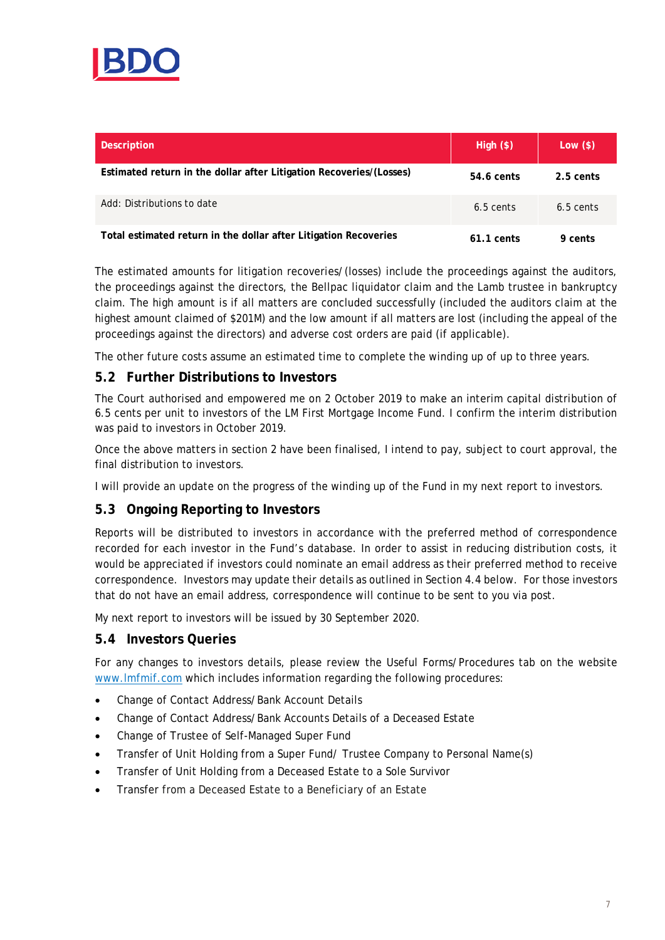

| <b>Description</b>                                                  | High (\$)    | Low $($ \$) |
|---------------------------------------------------------------------|--------------|-------------|
| Estimated return in the dollar after Litigation Recoveries/(Losses) | 54.6 cents   | 2.5 cents   |
| Add: Distributions to date                                          | $6.5$ cents  | $6.5$ cents |
| Total estimated return in the dollar after Litigation Recoveries    | $61.1$ cents | 9 cents     |

The estimated amounts for litigation recoveries/(losses) include the proceedings against the auditors, the proceedings against the directors, the Bellpac liquidator claim and the Lamb trustee in bankruptcy claim. The high amount is if all matters are concluded successfully (included the auditors claim at the highest amount claimed of \$201M) and the low amount if all matters are lost (including the appeal of the proceedings against the directors) and adverse cost orders are paid (if applicable).

The other future costs assume an estimated time to complete the winding up of up to three years.

# **5.2 Further Distributions to Investors**

The Court authorised and empowered me on 2 October 2019 to make an interim capital distribution of 6.5 cents per unit to investors of the LM First Mortgage Income Fund. I confirm the interim distribution was paid to investors in October 2019.

Once the above matters in section 2 have been finalised, I intend to pay, subject to court approval, the final distribution to investors.

I will provide an update on the progress of the winding up of the Fund in my next report to investors.

## **5.3 Ongoing Reporting to Investors**

Reports will be distributed to investors in accordance with the preferred method of correspondence recorded for each investor in the Fund's database. In order to assist in reducing distribution costs, it would be appreciated if investors could nominate an email address as their preferred method to receive correspondence. Investors may update their details as outlined in Section 4.4 below. For those investors that do not have an email address, correspondence will continue to be sent to you via post.

My next report to investors will be issued by 30 September 2020.

#### **5.4 Investors Queries**

For any changes to investors details, please review the Useful Forms/Procedures tab on the website [www.lmfmif.com](http://www.lmfmif.com/) which includes information regarding the following procedures:

- Change of Contact Address/Bank Account Details
- Change of Contact Address/Bank Accounts Details of a Deceased Estate
- Change of Trustee of Self-Managed Super Fund
- Transfer of Unit Holding from a Super Fund/ Trustee Company to Personal Name(s)
- Transfer of Unit Holding from a Deceased Estate to a Sole Survivor
- Transfer from a Deceased Estate to a Beneficiary of an Estate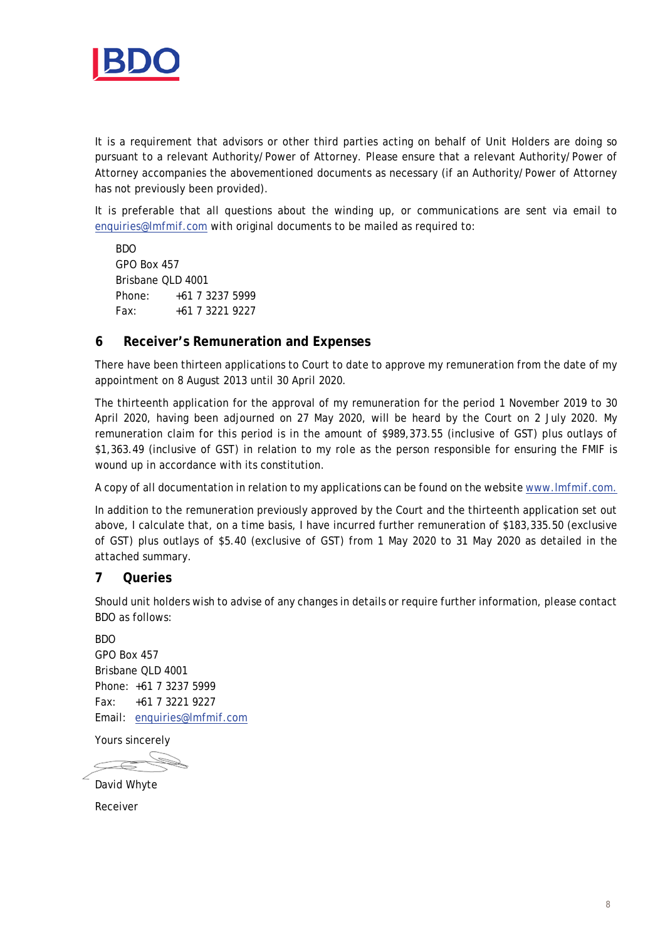

It is a requirement that advisors or other third parties acting on behalf of Unit Holders are doing so pursuant to a relevant Authority/Power of Attorney. Please ensure that a relevant Authority/Power of Attorney accompanies the abovementioned documents as necessary (if an Authority/Power of Attorney has not previously been provided).

It is preferable that all questions about the winding up, or communications are sent via email to [enquiries@lmfmif.com](mailto:enquiries@lmfmif.com) with original documents to be mailed as required to:

BDO GPO Box 457 Brisbane QLD 4001 Phone: +61 7 3237 5999 Fax: +61 7 3221 9227

## **6 Receiver's Remuneration and Expenses**

There have been thirteen applications to Court to date to approve my remuneration from the date of my appointment on 8 August 2013 until 30 April 2020.

The thirteenth application for the approval of my remuneration for the period 1 November 2019 to 30 April 2020, having been adjourned on 27 May 2020, will be heard by the Court on 2 July 2020. My remuneration claim for this period is in the amount of \$989,373.55 (inclusive of GST) plus outlays of \$1,363.49 (inclusive of GST) in relation to my role as the person responsible for ensuring the FMIF is wound up in accordance with its constitution.

A copy of all documentation in relation to my applications can be found on the website [www.lmfmif.com.](http://www.lmfmif.com/)

In addition to the remuneration previously approved by the Court and the thirteenth application set out above, I calculate that, on a time basis, I have incurred further remuneration of \$183,335.50 (exclusive of GST) plus outlays of \$5.40 (exclusive of GST) from 1 May 2020 to 31 May 2020 as detailed in the attached summary.

#### **7 Queries**

Should unit holders wish to advise of any changes in details or require further information, please contact BDO as follows:

BDO GPO Box 457 Brisbane QLD 4001 Phone: +61 7 3237 5999 Fax: +61 7 3221 9227 Email: [enquiries@lmfmif.com](mailto:enquiries@lmfmif.com)

Yours sincerely

David Whyte

Receiver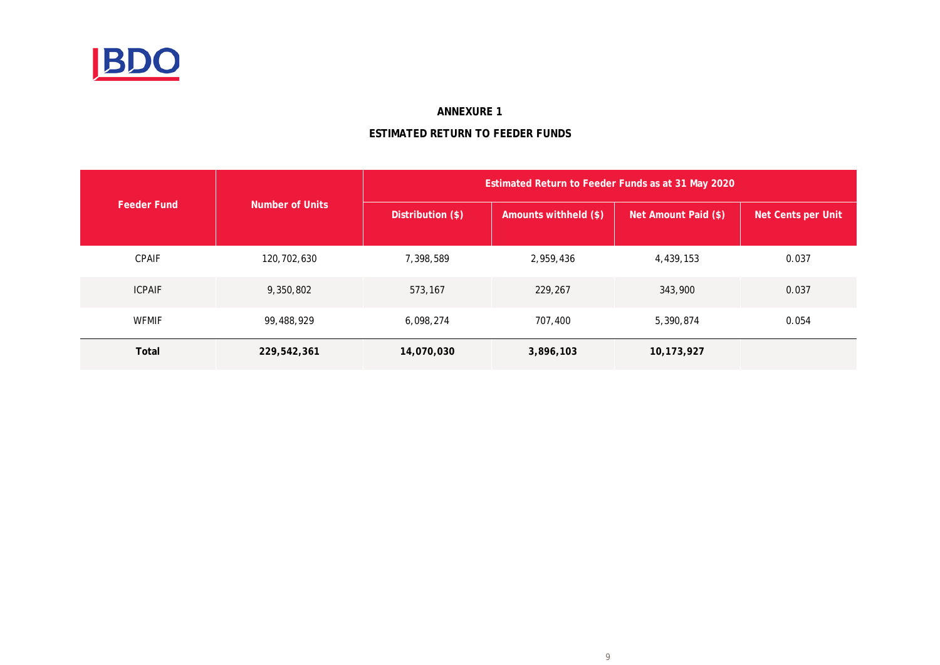

#### **ANNEXURE 1**

## **ESTIMATED RETURN TO FEEDER FUNDS**

|                    |                        | Estimated Return to Feeder Funds as at 31 May 2020 |                       |                      |                    |  |  |  |
|--------------------|------------------------|----------------------------------------------------|-----------------------|----------------------|--------------------|--|--|--|
| <b>Feeder Fund</b> | <b>Number of Units</b> | Distribution (\$)                                  | Amounts withheld (\$) | Net Amount Paid (\$) | Net Cents per Unit |  |  |  |
| <b>CPAIF</b>       | 120,702,630            | 7,398,589                                          | 2,959,436             | 4,439,153            | 0.037              |  |  |  |
| <b>ICPAIF</b>      | 9,350,802              | 573,167                                            | 229,267               | 343,900              | 0.037              |  |  |  |
| <b>WFMIF</b>       | 99,488,929             | 6,098,274                                          | 707,400               | 5,390,874            | 0.054              |  |  |  |
| Total              | 229,542,361            | 14,070,030                                         | 3,896,103             | 10,173,927           |                    |  |  |  |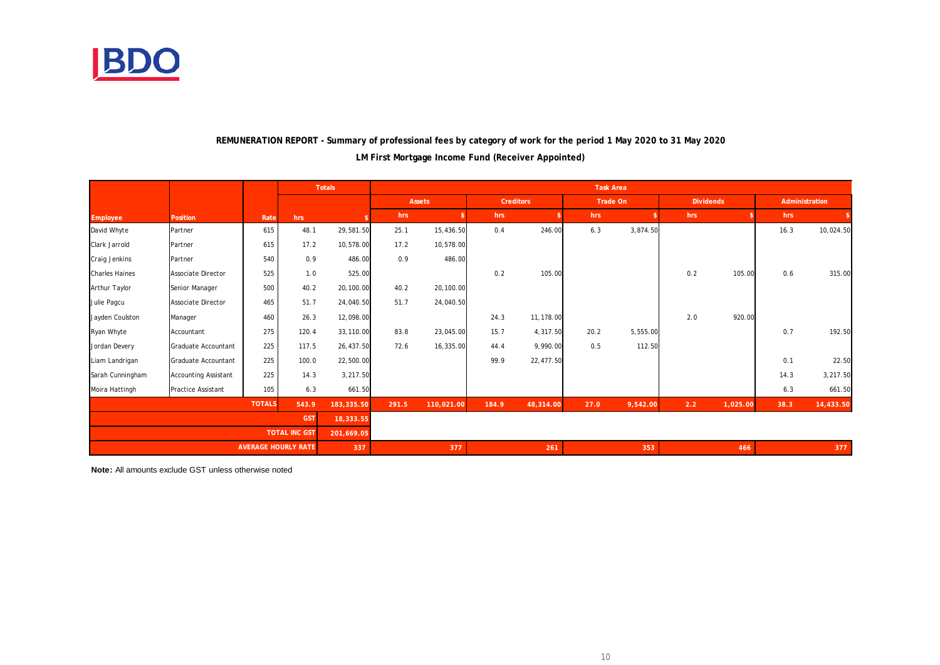

## **LM First Mortgage Income Fund (Receiver Appointed) REMUNERATION REPORT - Summary of professional fees by category of work for the period 1 May 2020 to 31 May 2020**

|                       |                             |               |                            | <b>Totals</b> | <b>Task Area</b> |            |                  |           |          |          |                  |          |                |           |
|-----------------------|-----------------------------|---------------|----------------------------|---------------|------------------|------------|------------------|-----------|----------|----------|------------------|----------|----------------|-----------|
|                       |                             |               |                            |               | Assets           |            | <b>Creditors</b> |           | Trade On |          | <b>Dividends</b> |          | Administration |           |
| Employee              | Position                    | Rate          | hrs                        |               | hrs              |            | hrs              |           | hrs      |          | hrs              |          | hrs            |           |
| David Whyte           | Partner                     | 615           | 48.1                       | 29,581.50     | 25.1             | 15,436.50  | 0.4              | 246.00    | 6.3      | 3,874.50 |                  |          | 16.3           | 10,024.50 |
| Clark Jarrold         | Partner                     | 615           | 17.2                       | 10,578.00     | 17.2             | 10,578.00  |                  |           |          |          |                  |          |                |           |
| Craig Jenkins         | Partner                     | 540           | 0.9                        | 486.00        | 0.9              | 486.00     |                  |           |          |          |                  |          |                |           |
| <b>Charles Haines</b> | <b>Associate Director</b>   | 525           | 1.0                        | 525.00        |                  |            | 0.2              | 105.00    |          |          | 0.2              | 105.00   | 0.6            | 315.00    |
| Arthur Taylor         | Senior Manager              | 500           | 40.2                       | 20,100.00     | 40.2             | 20,100.00  |                  |           |          |          |                  |          |                |           |
| Julie Pagcu           | <b>Associate Director</b>   | 465           | 51.7                       | 24,040.50     | 51.7             | 24,040.50  |                  |           |          |          |                  |          |                |           |
| Jayden Coulston       | Manager                     | 460           | 26.3                       | 12,098.00     |                  |            | 24.3             | 11,178.00 |          |          | 2.0              | 920.00   |                |           |
| Ryan Whyte            | Accountant                  | 275           | 120.4                      | 33,110.00     | 83.8             | 23,045.00  | 15.7             | 4,317.50  | 20.2     | 5,555.00 |                  |          | 0.7            | 192.50    |
| Jordan Devery         | Graduate Accountant         | 225           | 117.5                      | 26,437.50     | 72.6             | 16,335.00  | 44.4             | 9,990.00  | 0.5      | 112.50   |                  |          |                |           |
| Liam Landrigan        | Graduate Accountant         | 225           | 100.0                      | 22,500.00     |                  |            | 99.9             | 22,477.50 |          |          |                  |          | 0.1            | 22.50     |
| Sarah Cunningham      | <b>Accounting Assistant</b> | 225           | 14.3                       | 3,217.50      |                  |            |                  |           |          |          |                  |          | 14.3           | 3,217.50  |
| Moira Hattingh        | <b>Practice Assistant</b>   | 105           | 6.3                        | 661.50        |                  |            |                  |           |          |          |                  |          | 6.3            | 661.50    |
|                       |                             | <b>TOTALS</b> | 543.9                      | 183,335.50    | 291.5            | 110,021.00 | 184.9            | 48,314.00 | 27.0     | 9,542.00 | 2.2              | 1,025.00 | 38.3           | 14,433.50 |
|                       | <b>GST</b><br>18,333.55     |               |                            |               |                  |            |                  |           |          |          |                  |          |                |           |
|                       |                             |               | <b>TOTAL INC GST</b>       | 201,669.05    |                  |            |                  |           |          |          |                  |          |                |           |
|                       |                             |               | <b>AVERAGE HOURLY RATE</b> | 337           |                  | 377        |                  | 261       |          | 353      |                  | 466      |                | 377       |

**Note:** All amounts exclude GST unless otherwise noted